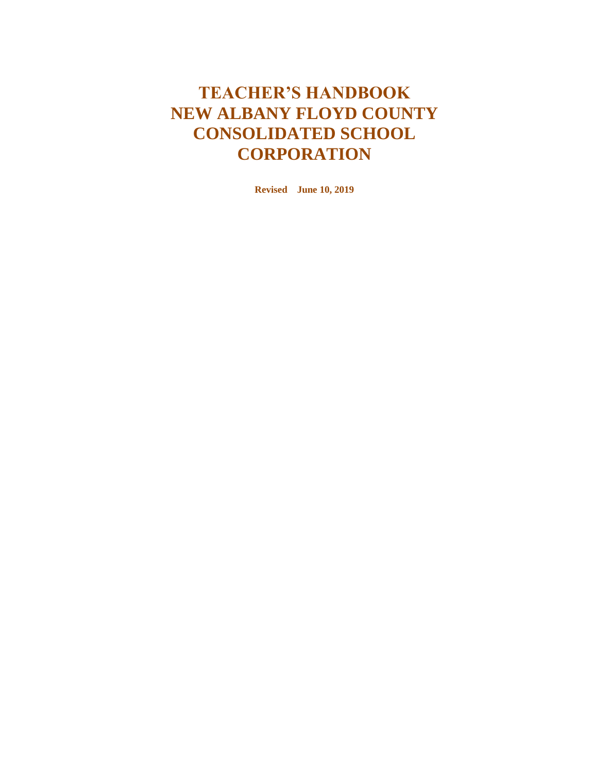# **TEACHER'S HANDBOOK NEW ALBANY FLOYD COUNTY CONSOLIDATED SCHOOL CORPORATION**

**Revised June 10, 2019**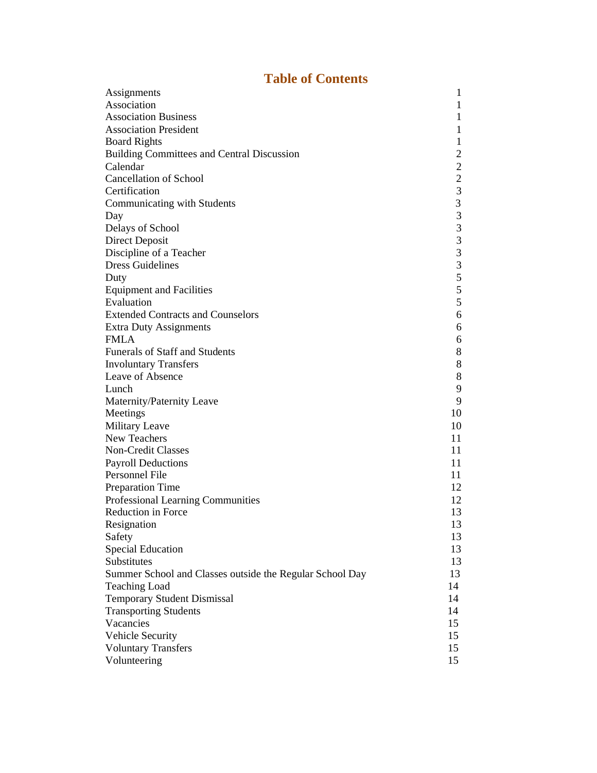## **Table of Contents**

| Assignments                                              | $\mathbf{1}$            |
|----------------------------------------------------------|-------------------------|
| Association                                              | $\mathbf{1}$            |
| <b>Association Business</b>                              | $\mathbf{1}$            |
| <b>Association President</b>                             | $\mathbf{1}$            |
| <b>Board Rights</b>                                      | $\mathbf{1}$            |
| <b>Building Committees and Central Discussion</b>        | $\overline{\mathbf{c}}$ |
| Calendar                                                 |                         |
| <b>Cancellation of School</b>                            | $\frac{2}{2}$           |
| Certification                                            | 3                       |
| Communicating with Students                              | $\overline{\mathbf{3}}$ |
| Day                                                      | $\overline{\mathbf{3}}$ |
| Delays of School                                         | $\frac{3}{3}$           |
| Direct Deposit                                           |                         |
| Discipline of a Teacher                                  | $\frac{3}{3}$           |
| <b>Dress Guidelines</b>                                  |                         |
| Duty                                                     | 5                       |
| <b>Equipment and Facilities</b>                          | 5                       |
| Evaluation                                               | 5                       |
| <b>Extended Contracts and Counselors</b>                 | 6                       |
| <b>Extra Duty Assignments</b>                            | 6                       |
| <b>FMLA</b>                                              | 6                       |
| <b>Funerals of Staff and Students</b>                    | 8                       |
| <b>Involuntary Transfers</b>                             | $8\,$                   |
| Leave of Absence                                         | 8                       |
| Lunch                                                    | 9                       |
| Maternity/Paternity Leave                                | 9                       |
| Meetings                                                 | 10                      |
| Military Leave                                           | 10                      |
| New Teachers                                             | 11                      |
| Non-Credit Classes                                       | 11                      |
| <b>Payroll Deductions</b>                                | 11                      |
| Personnel File                                           | 11                      |
| Preparation Time                                         | 12                      |
| Professional Learning Communities                        | 12                      |
| Reduction in Force                                       | 13                      |
| Resignation                                              | 13                      |
| Safety                                                   | 13                      |
| <b>Special Education</b>                                 | 13                      |
| Substitutes                                              | 13                      |
| Summer School and Classes outside the Regular School Day | 13                      |
| <b>Teaching Load</b>                                     | 14                      |
| <b>Temporary Student Dismissal</b>                       | 14                      |
| <b>Transporting Students</b>                             | 14                      |
| Vacancies                                                | 15                      |
| <b>Vehicle Security</b>                                  | 15                      |
| <b>Voluntary Transfers</b>                               | 15                      |
| Volunteering                                             | 15                      |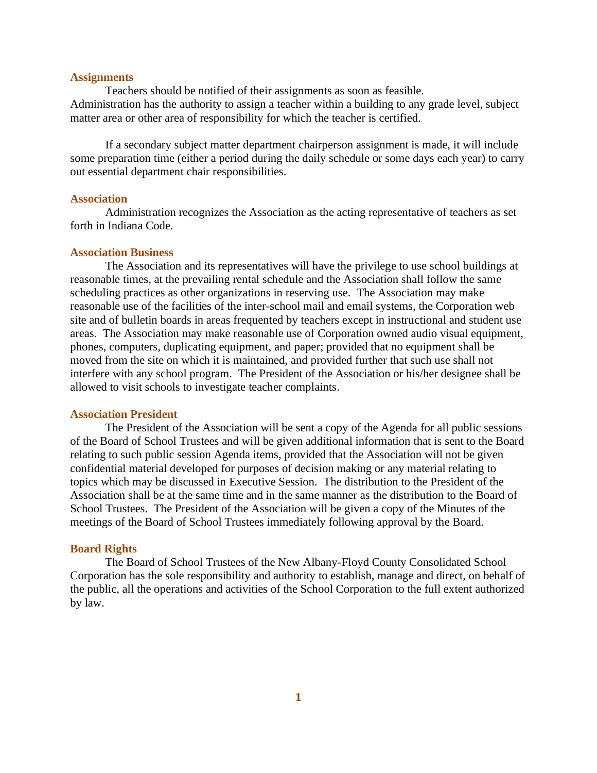### **Assignments**

Teachers should be notified of their assignments as soon as feasible. Administration has the authority to assign a teacher within a building to any grade level, subject matter area or other area of responsibility for which the teacher is certified.

If a secondary subject matter department chairperson assignment is made, it will include some preparation time (either a period during the daily schedule or some days each year) to carry out essential department chair responsibilities.

### **Association**

Administration recognizes the Association as the acting representative of teachers as set forth in Indiana Code.

### **Association Business**

The Association and its representatives will have the privilege to use school buildings at reasonable times, at the prevailing rental schedule and the Association shall follow the same scheduling practices as other organizations in reserving use. The Association may make reasonable use of the facilities of the inter-school mail and email systems, the Corporation web site and of bulletin boards in areas frequented by teachers except in instructional and student use areas. The Association may make reasonable use of Corporation owned audio visual equipment, phones, computers, duplicating equipment, and paper; provided that no equipment shall be moved from the site on which it is maintained, and provided further that such use shall not interfere with any school program. The President of the Association or his/her designee shall be allowed to visit schools to investigate teacher complaints.

### **Association President**

The President of the Association will be sent a copy of the Agenda for all public sessions of the Board of School Trustees and will be given additional information that is sent to the Board relating to such public session Agenda items, provided that the Association will not be given confidential material developed for purposes of decision making or any material relating to topics which may be discussed in Executive Session. The distribution to the President of the Association shall be at the same time and in the same manner as the distribution to the Board of School Trustees. The President of the Association will be given a copy of the Minutes of the meetings of the Board of School Trustees immediately following approval by the Board.

#### **Board Rights**

The Board of School Trustees of the New Albany-Floyd County Consolidated School Corporation has the sole responsibility and authority to establish, manage and direct, on behalf of the public, all the operations and activities of the School Corporation to the full extent authorized by law.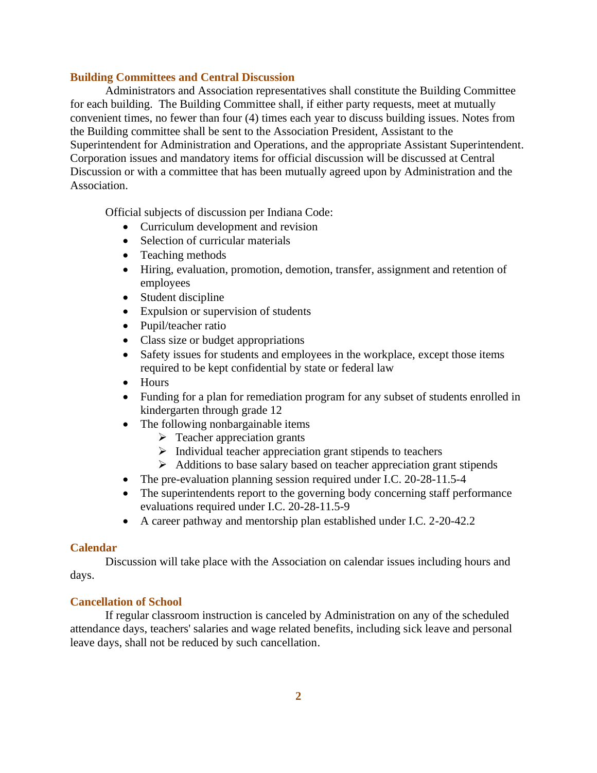### **Building Committees and Central Discussion**

Administrators and Association representatives shall constitute the Building Committee for each building. The Building Committee shall, if either party requests, meet at mutually convenient times, no fewer than four (4) times each year to discuss building issues. Notes from the Building committee shall be sent to the Association President, Assistant to the Superintendent for Administration and Operations, and the appropriate Assistant Superintendent. Corporation issues and mandatory items for official discussion will be discussed at Central Discussion or with a committee that has been mutually agreed upon by Administration and the Association.

Official subjects of discussion per Indiana Code:

- Curriculum development and revision
- Selection of curricular materials
- Teaching methods
- Hiring, evaluation, promotion, demotion, transfer, assignment and retention of employees
- Student discipline
- Expulsion or supervision of students
- Pupil/teacher ratio
- Class size or budget appropriations
- Safety issues for students and employees in the workplace, except those items required to be kept confidential by state or federal law
- Hours
- Funding for a plan for remediation program for any subset of students enrolled in kindergarten through grade 12
- The following nonbargainable items
	- $\triangleright$  Teacher appreciation grants
	- $\triangleright$  Individual teacher appreciation grant stipends to teachers
	- ➢ Additions to base salary based on teacher appreciation grant stipends
- The pre-evaluation planning session required under I.C. 20-28-11.5-4
- The superintendents report to the governing body concerning staff performance evaluations required under I.C. 20-28-11.5-9
- A career pathway and mentorship plan established under I.C. 2-20-42.2

### **Calendar**

Discussion will take place with the Association on calendar issues including hours and days.

### **Cancellation of School**

If regular classroom instruction is canceled by Administration on any of the scheduled attendance days, teachers' salaries and wage related benefits, including sick leave and personal leave days, shall not be reduced by such cancellation.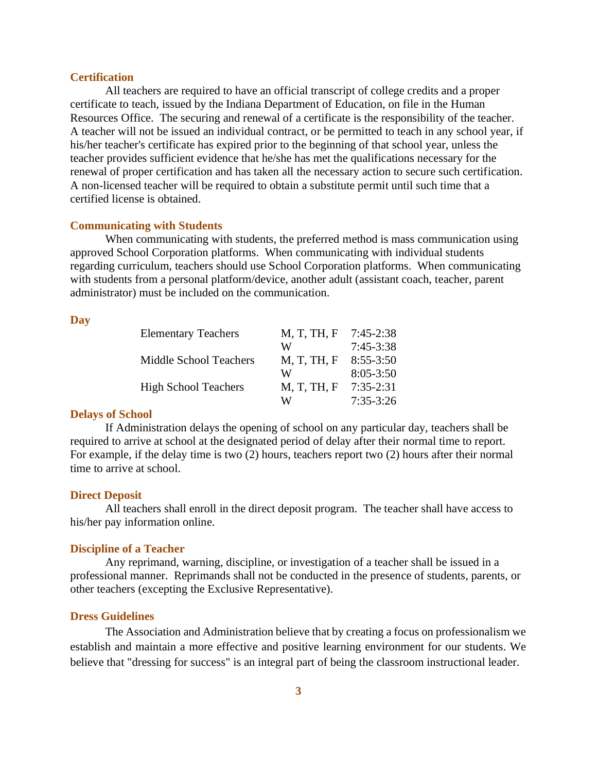### **Certification**

All teachers are required to have an official transcript of college credits and a proper certificate to teach, issued by the Indiana Department of Education, on file in the Human Resources Office. The securing and renewal of a certificate is the responsibility of the teacher. A teacher will not be issued an individual contract, or be permitted to teach in any school year, if his/her teacher's certificate has expired prior to the beginning of that school year, unless the teacher provides sufficient evidence that he/she has met the qualifications necessary for the renewal of proper certification and has taken all the necessary action to secure such certification. A non-licensed teacher will be required to obtain a substitute permit until such time that a certified license is obtained.

### **Communicating with Students**

When communicating with students, the preferred method is mass communication using approved School Corporation platforms. When communicating with individual students regarding curriculum, teachers should use School Corporation platforms. When communicating with students from a personal platform/device, another adult (assistant coach, teacher, parent administrator) must be included on the communication.

### **Day**

| <b>Elementary Teachers</b>    | M, T, TH, F | $7:45-2:38$   |
|-------------------------------|-------------|---------------|
|                               | W           | $7:45-3:38$   |
| <b>Middle School Teachers</b> | M, T, TH, F | $8:55-3:50$   |
|                               | W           | $8:05 - 3:50$ |
| <b>High School Teachers</b>   | M, T, TH, F | $7:35-2:31$   |
|                               | W           | $7:35-3:26$   |

### **Delays of School**

If Administration delays the opening of school on any particular day, teachers shall be required to arrive at school at the designated period of delay after their normal time to report. For example, if the delay time is two (2) hours, teachers report two (2) hours after their normal time to arrive at school.

### **Direct Deposit**

All teachers shall enroll in the direct deposit program. The teacher shall have access to his/her pay information online.

### **Discipline of a Teacher**

Any reprimand, warning, discipline, or investigation of a teacher shall be issued in a professional manner. Reprimands shall not be conducted in the presence of students, parents, or other teachers (excepting the Exclusive Representative).

#### **Dress Guidelines**

The Association and Administration believe that by creating a focus on professionalism we establish and maintain a more effective and positive learning environment for our students. We believe that "dressing for success" is an integral part of being the classroom instructional leader.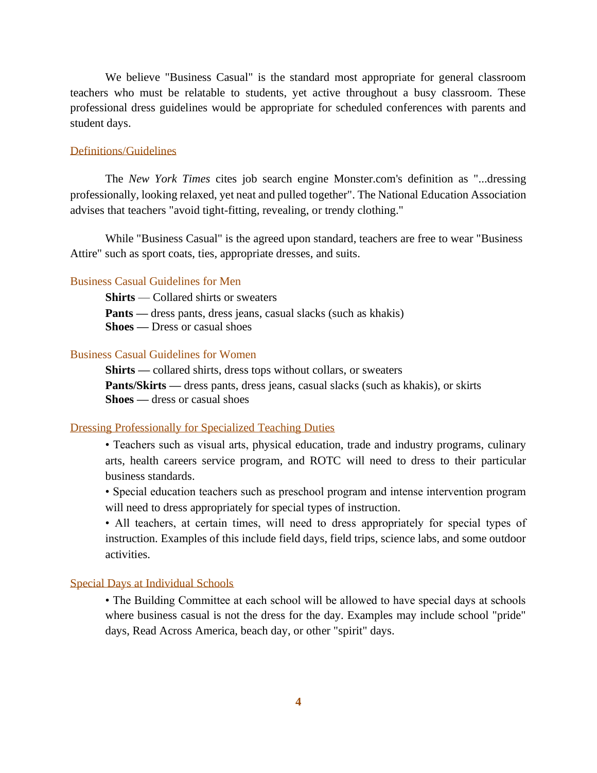We believe "Business Casual" is the standard most appropriate for general classroom teachers who must be relatable to students, yet active throughout a busy classroom. These professional dress guidelines would be appropriate for scheduled conferences with parents and student days.

### Definitions/Guidelines

The *New York Times* cites job search engine Monster.com's definition as "...dressing professionally, looking relaxed, yet neat and pulled together". The National Education Association advises that teachers "avoid tight-fitting, revealing, or trendy clothing."

While "Business Casual" is the agreed upon standard, teachers are free to wear "Business Attire" such as sport coats, ties, appropriate dresses, and suits.

### Business Casual Guidelines for Men

**Shirts** — Collared shirts or sweaters

**Pants** — dress pants, dress jeans, casual slacks (such as khakis)

**Shoes —** Dress or casual shoes

### Business Casual Guidelines for Women

**Shirts —** collared shirts, dress tops without collars, or sweaters **Pants/Skirts —** dress pants, dress jeans, casual slacks (such as khakis), or skirts **Shoes —** dress or casual shoes

#### Dressing Professionally for Specialized Teaching Duties

• Teachers such as visual arts, physical education, trade and industry programs, culinary arts, health careers service program, and ROTC will need to dress to their particular business standards.

• Special education teachers such as preschool program and intense intervention program will need to dress appropriately for special types of instruction.

• All teachers, at certain times, will need to dress appropriately for special types of instruction. Examples of this include field days, field trips, science labs, and some outdoor activities.

### Special Days at Individual Schools

• The Building Committee at each school will be allowed to have special days at schools where business casual is not the dress for the day. Examples may include school "pride" days, Read Across America, beach day, or other "spirit" days.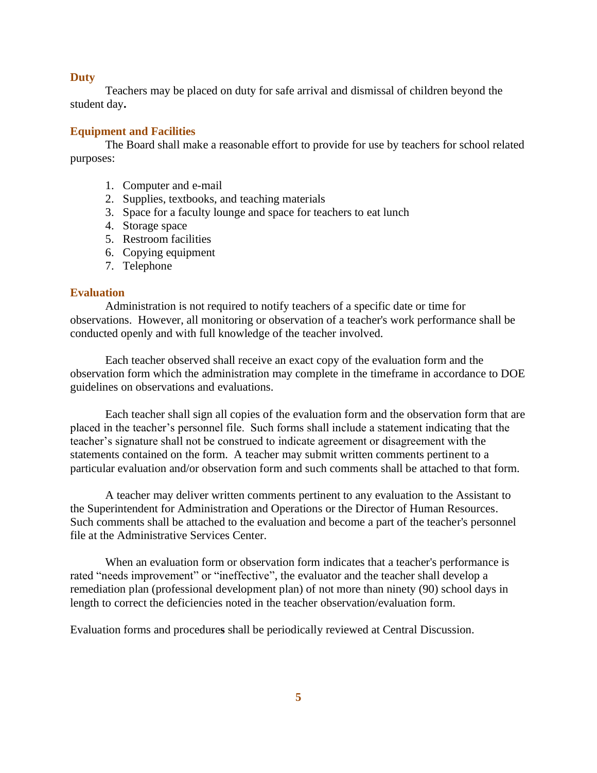### **Duty**

Teachers may be placed on duty for safe arrival and dismissal of children beyond the student day**.**

### **Equipment and Facilities**

The Board shall make a reasonable effort to provide for use by teachers for school related purposes:

- 1. Computer and e-mail
- 2. Supplies, textbooks, and teaching materials
- 3. Space for a faculty lounge and space for teachers to eat lunch
- 4. Storage space
- 5. Restroom facilities
- 6. Copying equipment
- 7. Telephone

### **Evaluation**

Administration is not required to notify teachers of a specific date or time for observations. However, all monitoring or observation of a teacher's work performance shall be conducted openly and with full knowledge of the teacher involved.

Each teacher observed shall receive an exact copy of the evaluation form and the observation form which the administration may complete in the timeframe in accordance to DOE guidelines on observations and evaluations.

Each teacher shall sign all copies of the evaluation form and the observation form that are placed in the teacher's personnel file. Such forms shall include a statement indicating that the teacher's signature shall not be construed to indicate agreement or disagreement with the statements contained on the form. A teacher may submit written comments pertinent to a particular evaluation and/or observation form and such comments shall be attached to that form.

A teacher may deliver written comments pertinent to any evaluation to the Assistant to the Superintendent for Administration and Operations or the Director of Human Resources. Such comments shall be attached to the evaluation and become a part of the teacher's personnel file at the Administrative Services Center.

When an evaluation form or observation form indicates that a teacher's performance is rated "needs improvement" or "ineffective", the evaluator and the teacher shall develop a remediation plan (professional development plan) of not more than ninety (90) school days in length to correct the deficiencies noted in the teacher observation/evaluation form.

Evaluation forms and procedure**s** shall be periodically reviewed at Central Discussion.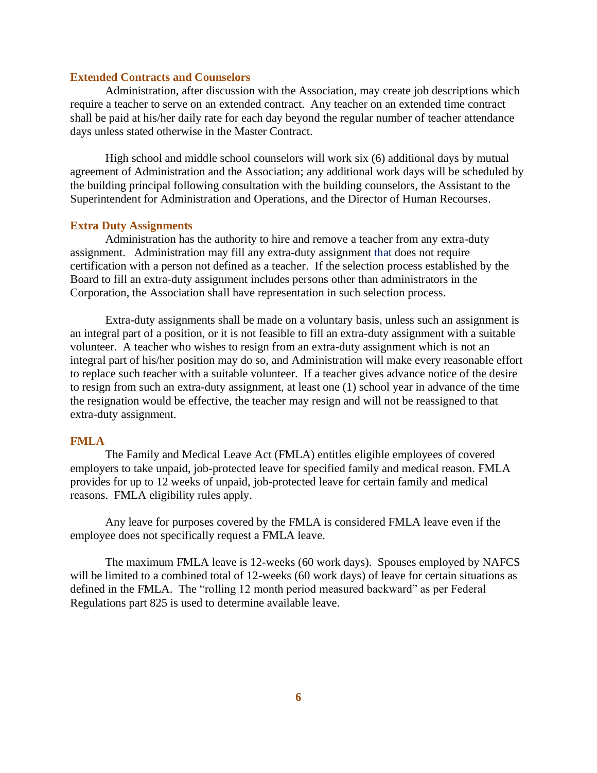### **Extended Contracts and Counselors**

Administration, after discussion with the Association, may create job descriptions which require a teacher to serve on an extended contract. Any teacher on an extended time contract shall be paid at his/her daily rate for each day beyond the regular number of teacher attendance days unless stated otherwise in the Master Contract.

High school and middle school counselors will work six (6) additional days by mutual agreement of Administration and the Association; any additional work days will be scheduled by the building principal following consultation with the building counselors, the Assistant to the Superintendent for Administration and Operations, and the Director of Human Recourses.

### **Extra Duty Assignments**

Administration has the authority to hire and remove a teacher from any extra-duty assignment. Administration may fill any extra-duty assignment that does not require certification with a person not defined as a teacher. If the selection process established by the Board to fill an extra-duty assignment includes persons other than administrators in the Corporation, the Association shall have representation in such selection process.

Extra-duty assignments shall be made on a voluntary basis, unless such an assignment is an integral part of a position, or it is not feasible to fill an extra-duty assignment with a suitable volunteer. A teacher who wishes to resign from an extra-duty assignment which is not an integral part of his/her position may do so, and Administration will make every reasonable effort to replace such teacher with a suitable volunteer. If a teacher gives advance notice of the desire to resign from such an extra-duty assignment, at least one (1) school year in advance of the time the resignation would be effective, the teacher may resign and will not be reassigned to that extra-duty assignment.

### **FMLA**

The Family and Medical Leave Act (FMLA) entitles eligible employees of covered employers to take unpaid, job-protected leave for specified family and medical reason. FMLA provides for up to 12 weeks of unpaid, job-protected leave for certain family and medical reasons. FMLA eligibility rules apply.

Any leave for purposes covered by the FMLA is considered FMLA leave even if the employee does not specifically request a FMLA leave.

The maximum FMLA leave is 12-weeks (60 work days). Spouses employed by NAFCS will be limited to a combined total of 12-weeks (60 work days) of leave for certain situations as defined in the FMLA. The "rolling 12 month period measured backward" as per Federal Regulations part 825 is used to determine available leave.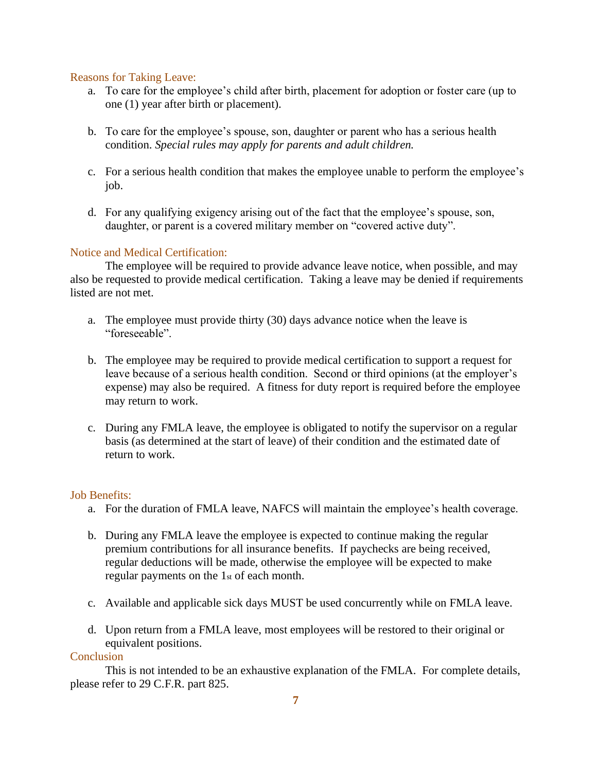### Reasons for Taking Leave:

- a. To care for the employee's child after birth, placement for adoption or foster care (up to one (1) year after birth or placement).
- b. To care for the employee's spouse, son, daughter or parent who has a serious health condition. *Special rules may apply for parents and adult children.*
- c. For a serious health condition that makes the employee unable to perform the employee's job.
- d. For any qualifying exigency arising out of the fact that the employee's spouse, son, daughter, or parent is a covered military member on "covered active duty".

### Notice and Medical Certification:

The employee will be required to provide advance leave notice, when possible, and may also be requested to provide medical certification. Taking a leave may be denied if requirements listed are not met.

- a. The employee must provide thirty (30) days advance notice when the leave is "foreseeable".
- b. The employee may be required to provide medical certification to support a request for leave because of a serious health condition. Second or third opinions (at the employer's expense) may also be required. A fitness for duty report is required before the employee may return to work.
- c. During any FMLA leave, the employee is obligated to notify the supervisor on a regular basis (as determined at the start of leave) of their condition and the estimated date of return to work.

### Job Benefits:

- a. For the duration of FMLA leave, NAFCS will maintain the employee's health coverage.
- b. During any FMLA leave the employee is expected to continue making the regular premium contributions for all insurance benefits. If paychecks are being received, regular deductions will be made, otherwise the employee will be expected to make regular payments on the 1st of each month.
- c. Available and applicable sick days MUST be used concurrently while on FMLA leave.
- d. Upon return from a FMLA leave, most employees will be restored to their original or equivalent positions.

### **Conclusion**

This is not intended to be an exhaustive explanation of the FMLA. For complete details, please refer to 29 C.F.R. part 825.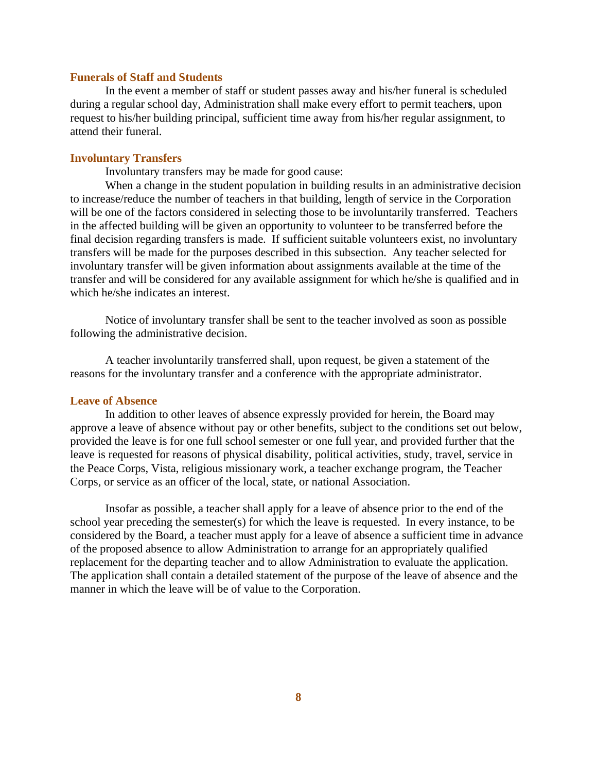### **Funerals of Staff and Students**

In the event a member of staff or student passes away and his/her funeral is scheduled during a regular school day, Administration shall make every effort to permit teacher**s**, upon request to his/her building principal, sufficient time away from his/her regular assignment, to attend their funeral.

### **Involuntary Transfers**

Involuntary transfers may be made for good cause:

When a change in the student population in building results in an administrative decision to increase/reduce the number of teachers in that building, length of service in the Corporation will be one of the factors considered in selecting those to be involuntarily transferred. Teachers in the affected building will be given an opportunity to volunteer to be transferred before the final decision regarding transfers is made. If sufficient suitable volunteers exist, no involuntary transfers will be made for the purposes described in this subsection. Any teacher selected for involuntary transfer will be given information about assignments available at the time of the transfer and will be considered for any available assignment for which he/she is qualified and in which he/she indicates an interest.

Notice of involuntary transfer shall be sent to the teacher involved as soon as possible following the administrative decision.

A teacher involuntarily transferred shall, upon request, be given a statement of the reasons for the involuntary transfer and a conference with the appropriate administrator.

### **Leave of Absence**

In addition to other leaves of absence expressly provided for herein, the Board may approve a leave of absence without pay or other benefits, subject to the conditions set out below, provided the leave is for one full school semester or one full year, and provided further that the leave is requested for reasons of physical disability, political activities, study, travel, service in the Peace Corps, Vista, religious missionary work, a teacher exchange program, the Teacher Corps, or service as an officer of the local, state, or national Association.

Insofar as possible, a teacher shall apply for a leave of absence prior to the end of the school year preceding the semester(s) for which the leave is requested. In every instance, to be considered by the Board, a teacher must apply for a leave of absence a sufficient time in advance of the proposed absence to allow Administration to arrange for an appropriately qualified replacement for the departing teacher and to allow Administration to evaluate the application. The application shall contain a detailed statement of the purpose of the leave of absence and the manner in which the leave will be of value to the Corporation.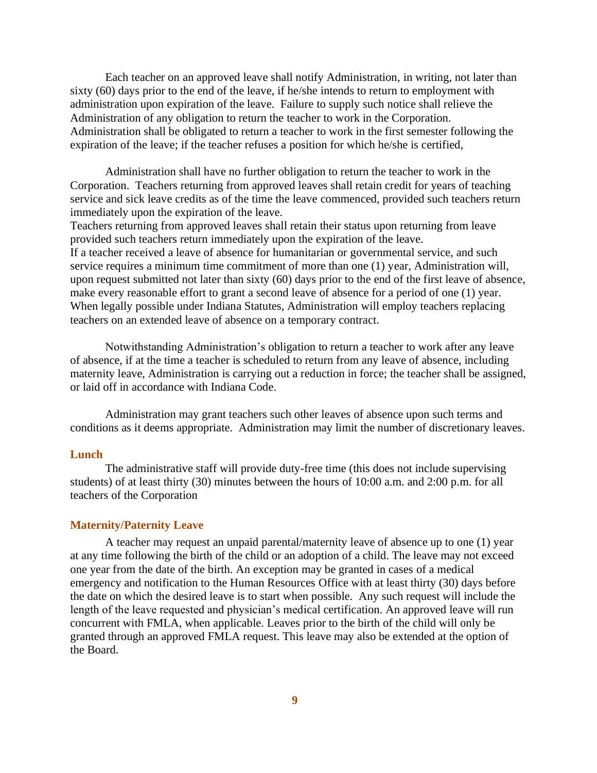Each teacher on an approved leave shall notify Administration, in writing, not later than sixty (60) days prior to the end of the leave, if he/she intends to return to employment with administration upon expiration of the leave. Failure to supply such notice shall relieve the Administration of any obligation to return the teacher to work in the Corporation. Administration shall be obligated to return a teacher to work in the first semester following the expiration of the leave; if the teacher refuses a position for which he/she is certified,

Administration shall have no further obligation to return the teacher to work in the Corporation. Teachers returning from approved leaves shall retain credit for years of teaching service and sick leave credits as of the time the leave commenced, provided such teachers return immediately upon the expiration of the leave.

Teachers returning from approved leaves shall retain their status upon returning from leave provided such teachers return immediately upon the expiration of the leave. If a teacher received a leave of absence for humanitarian or governmental service, and such service requires a minimum time commitment of more than one (1) year, Administration will, upon request submitted not later than sixty (60) days prior to the end of the first leave of absence, make every reasonable effort to grant a second leave of absence for a period of one (1) year. When legally possible under Indiana Statutes, Administration will employ teachers replacing teachers on an extended leave of absence on a temporary contract.

Notwithstanding Administration's obligation to return a teacher to work after any leave of absence, if at the time a teacher is scheduled to return from any leave of absence, including maternity leave, Administration is carrying out a reduction in force; the teacher shall be assigned, or laid off in accordance with Indiana Code.

Administration may grant teachers such other leaves of absence upon such terms and conditions as it deems appropriate. Administration may limit the number of discretionary leaves.

### **Lunch**

The administrative staff will provide duty-free time (this does not include supervising students) of at least thirty (30) minutes between the hours of 10:00 a.m. and 2:00 p.m. for all teachers of the Corporation

### **Maternity/Paternity Leave**

A teacher may request an unpaid parental/maternity leave of absence up to one (1) year at any time following the birth of the child or an adoption of a child. The leave may not exceed one year from the date of the birth. An exception may be granted in cases of a medical emergency and notification to the Human Resources Office with at least thirty (30) days before the date on which the desired leave is to start when possible. Any such request will include the length of the leave requested and physician's medical certification. An approved leave will run concurrent with FMLA, when applicable. Leaves prior to the birth of the child will only be granted through an approved FMLA request. This leave may also be extended at the option of the Board.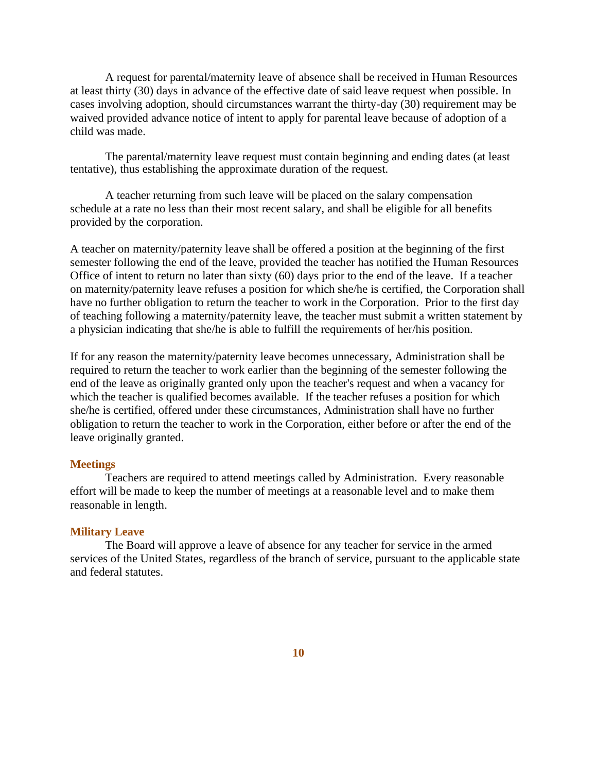A request for parental/maternity leave of absence shall be received in Human Resources at least thirty (30) days in advance of the effective date of said leave request when possible. In cases involving adoption, should circumstances warrant the thirty-day (30) requirement may be waived provided advance notice of intent to apply for parental leave because of adoption of a child was made.

The parental/maternity leave request must contain beginning and ending dates (at least tentative), thus establishing the approximate duration of the request.

A teacher returning from such leave will be placed on the salary compensation schedule at a rate no less than their most recent salary, and shall be eligible for all benefits provided by the corporation.

A teacher on maternity/paternity leave shall be offered a position at the beginning of the first semester following the end of the leave, provided the teacher has notified the Human Resources Office of intent to return no later than sixty (60) days prior to the end of the leave. If a teacher on maternity/paternity leave refuses a position for which she/he is certified, the Corporation shall have no further obligation to return the teacher to work in the Corporation. Prior to the first day of teaching following a maternity/paternity leave, the teacher must submit a written statement by a physician indicating that she/he is able to fulfill the requirements of her/his position.

If for any reason the maternity/paternity leave becomes unnecessary, Administration shall be required to return the teacher to work earlier than the beginning of the semester following the end of the leave as originally granted only upon the teacher's request and when a vacancy for which the teacher is qualified becomes available. If the teacher refuses a position for which she/he is certified, offered under these circumstances, Administration shall have no further obligation to return the teacher to work in the Corporation, either before or after the end of the leave originally granted.

#### **Meetings**

Teachers are required to attend meetings called by Administration. Every reasonable effort will be made to keep the number of meetings at a reasonable level and to make them reasonable in length.

### **Military Leave**

The Board will approve a leave of absence for any teacher for service in the armed services of the United States, regardless of the branch of service, pursuant to the applicable state and federal statutes.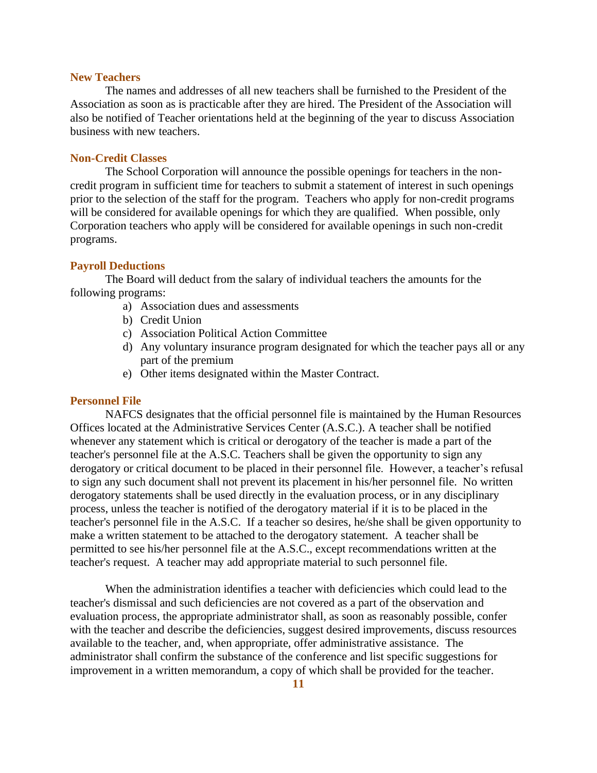### **New Teachers**

The names and addresses of all new teachers shall be furnished to the President of the Association as soon as is practicable after they are hired. The President of the Association will also be notified of Teacher orientations held at the beginning of the year to discuss Association business with new teachers.

### **Non-Credit Classes**

The School Corporation will announce the possible openings for teachers in the noncredit program in sufficient time for teachers to submit a statement of interest in such openings prior to the selection of the staff for the program. Teachers who apply for non-credit programs will be considered for available openings for which they are qualified. When possible, only Corporation teachers who apply will be considered for available openings in such non-credit programs.

#### **Payroll Deductions**

The Board will deduct from the salary of individual teachers the amounts for the following programs:

- a) Association dues and assessments
- b) Credit Union
- c) Association Political Action Committee
- d) Any voluntary insurance program designated for which the teacher pays all or any part of the premium
- e) Other items designated within the Master Contract.

### **Personnel File**

NAFCS designates that the official personnel file is maintained by the Human Resources Offices located at the Administrative Services Center (A.S.C.). A teacher shall be notified whenever any statement which is critical or derogatory of the teacher is made a part of the teacher's personnel file at the A.S.C. Teachers shall be given the opportunity to sign any derogatory or critical document to be placed in their personnel file. However, a teacher's refusal to sign any such document shall not prevent its placement in his/her personnel file. No written derogatory statements shall be used directly in the evaluation process, or in any disciplinary process, unless the teacher is notified of the derogatory material if it is to be placed in the teacher's personnel file in the A.S.C.If a teacher so desires, he/she shall be given opportunity to make a written statement to be attached to the derogatory statement. A teacher shall be permitted to see his/her personnel file at the A.S.C., except recommendations written at the teacher's request. A teacher may add appropriate material to such personnel file.

When the administration identifies a teacher with deficiencies which could lead to the teacher's dismissal and such deficiencies are not covered as a part of the observation and evaluation process, the appropriate administrator shall, as soon as reasonably possible, confer with the teacher and describe the deficiencies, suggest desired improvements, discuss resources available to the teacher, and, when appropriate, offer administrative assistance. The administrator shall confirm the substance of the conference and list specific suggestions for improvement in a written memorandum, a copy of which shall be provided for the teacher.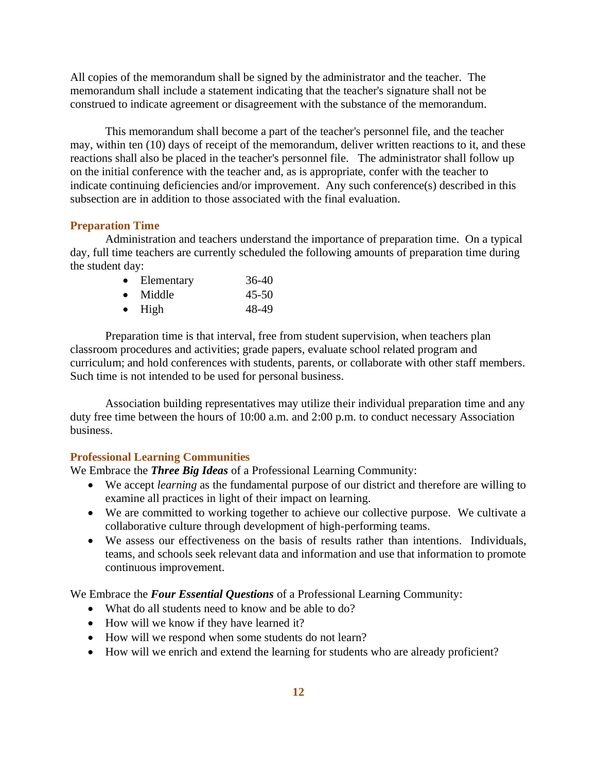All copies of the memorandum shall be signed by the administrator and the teacher. The memorandum shall include a statement indicating that the teacher's signature shall not be construed to indicate agreement or disagreement with the substance of the memorandum.

This memorandum shall become a part of the teacher's personnel file, and the teacher may, within ten (10) days of receipt of the memorandum, deliver written reactions to it, and these reactions shall also be placed in the teacher's personnel file. The administrator shall follow up on the initial conference with the teacher and, as is appropriate, confer with the teacher to indicate continuing deficiencies and/or improvement. Any such conference(s) described in this subsection are in addition to those associated with the final evaluation.

### **Preparation Time**

Administration and teachers understand the importance of preparation time. On a typical day, full time teachers are currently scheduled the following amounts of preparation time during the student day:

| $\bullet$ | Elementary | 36-40     |
|-----------|------------|-----------|
| $\bullet$ | Middle     | $45 - 50$ |
| $\bullet$ | High       | 48-49     |

Preparation time is that interval, free from student supervision, when teachers plan classroom procedures and activities; grade papers, evaluate school related program and curriculum; and hold conferences with students, parents, or collaborate with other staff members. Such time is not intended to be used for personal business.

Association building representatives may utilize their individual preparation time and any duty free time between the hours of 10:00 a.m. and 2:00 p.m. to conduct necessary Association business.

### **Professional Learning Communities**

We Embrace the *Three Big Ideas* of a Professional Learning Community:

- We accept *learning* as the fundamental purpose of our district and therefore are willing to examine all practices in light of their impact on learning.
- We are committed to working together to achieve our collective purpose. We cultivate a collaborative culture through development of high-performing teams.
- We assess our effectiveness on the basis of results rather than intentions. Individuals, teams, and schools seek relevant data and information and use that information to promote continuous improvement.

We Embrace the *Four Essential Questions* of a Professional Learning Community:

- What do all students need to know and be able to do?
- How will we know if they have learned it?
- How will we respond when some students do not learn?
- How will we enrich and extend the learning for students who are already proficient?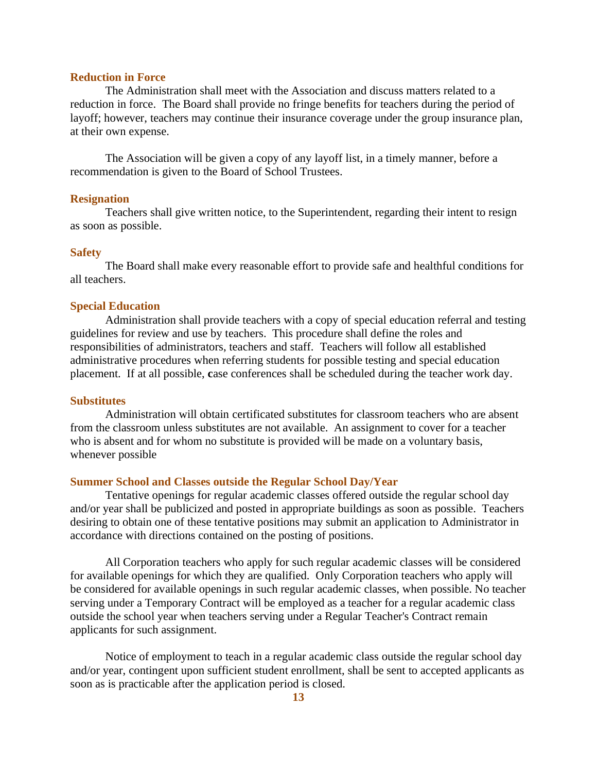### **Reduction in Force**

The Administration shall meet with the Association and discuss matters related to a reduction in force. The Board shall provide no fringe benefits for teachers during the period of layoff; however, teachers may continue their insurance coverage under the group insurance plan, at their own expense.

The Association will be given a copy of any layoff list, in a timely manner, before a recommendation is given to the Board of School Trustees.

### **Resignation**

Teachers shall give written notice, to the Superintendent, regarding their intent to resign as soon as possible.

#### **Safety**

The Board shall make every reasonable effort to provide safe and healthful conditions for all teachers.

### **Special Education**

Administration shall provide teachers with a copy of special education referral and testing guidelines for review and use by teachers. This procedure shall define the roles and responsibilities of administrators, teachers and staff. Teachers will follow all established administrative procedures when referring students for possible testing and special education placement. If at all possible, **c**ase conferences shall be scheduled during the teacher work day.

### **Substitutes**

Administration will obtain certificated substitutes for classroom teachers who are absent from the classroom unless substitutes are not available. An assignment to cover for a teacher who is absent and for whom no substitute is provided will be made on a voluntary basis, whenever possible

#### **Summer School and Classes outside the Regular School Day/Year**

Tentative openings for regular academic classes offered outside the regular school day and/or year shall be publicized and posted in appropriate buildings as soon as possible. Teachers desiring to obtain one of these tentative positions may submit an application to Administrator in accordance with directions contained on the posting of positions.

All Corporation teachers who apply for such regular academic classes will be considered for available openings for which they are qualified. Only Corporation teachers who apply will be considered for available openings in such regular academic classes, when possible. No teacher serving under a Temporary Contract will be employed as a teacher for a regular academic class outside the school year when teachers serving under a Regular Teacher's Contract remain applicants for such assignment.

Notice of employment to teach in a regular academic class outside the regular school day and/or year, contingent upon sufficient student enrollment, shall be sent to accepted applicants as soon as is practicable after the application period is closed.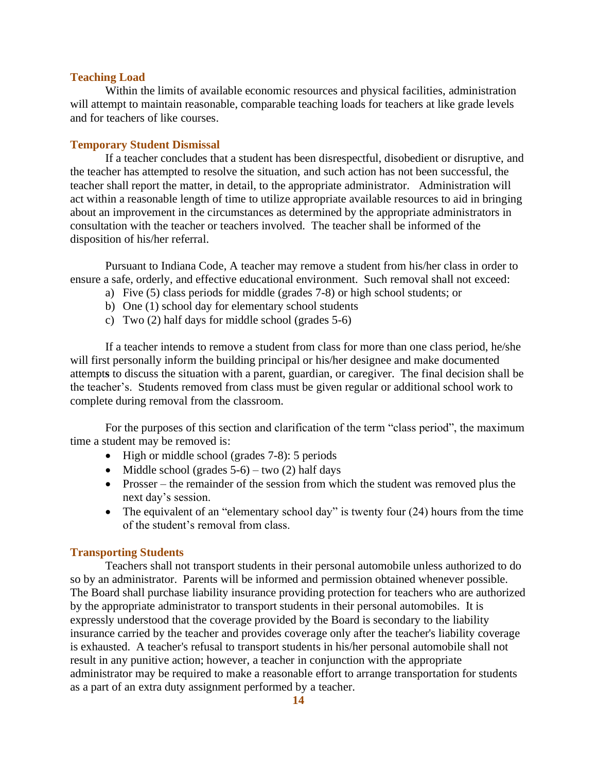### **Teaching Load**

Within the limits of available economic resources and physical facilities, administration will attempt to maintain reasonable, comparable teaching loads for teachers at like grade levels and for teachers of like courses.

### **Temporary Student Dismissal**

If a teacher concludes that a student has been disrespectful, disobedient or disruptive, and the teacher has attempted to resolve the situation, and such action has not been successful, the teacher shall report the matter, in detail, to the appropriate administrator. Administration will act within a reasonable length of time to utilize appropriate available resources to aid in bringing about an improvement in the circumstances as determined by the appropriate administrators in consultation with the teacher or teachers involved. The teacher shall be informed of the disposition of his/her referral.

Pursuant to Indiana Code, A teacher may remove a student from his/her class in order to ensure a safe, orderly, and effective educational environment. Such removal shall not exceed:

- a) Five (5) class periods for middle (grades 7-8) or high school students; or
- b) One (1) school day for elementary school students
- c) Two (2) half days for middle school (grades 5-6)

If a teacher intends to remove a student from class for more than one class period, he/she will first personally inform the building principal or his/her designee and make documented attempt**s** to discuss the situation with a parent, guardian, or caregiver. The final decision shall be the teacher's. Students removed from class must be given regular or additional school work to complete during removal from the classroom.

For the purposes of this section and clarification of the term "class period", the maximum time a student may be removed is:

- High or middle school (grades 7-8): 5 periods
- Middle school (grades  $5-6$ ) two (2) half days
- Prosser the remainder of the session from which the student was removed plus the next day's session.
- The equivalent of an "elementary school day" is twenty four (24) hours from the time of the student's removal from class.

### **Transporting Students**

Teachers shall not transport students in their personal automobile unless authorized to do so by an administrator. Parents will be informed and permission obtained whenever possible. The Board shall purchase liability insurance providing protection for teachers who are authorized by the appropriate administrator to transport students in their personal automobiles. It is expressly understood that the coverage provided by the Board is secondary to the liability insurance carried by the teacher and provides coverage only after the teacher's liability coverage is exhausted. A teacher's refusal to transport students in his/her personal automobile shall not result in any punitive action; however, a teacher in conjunction with the appropriate administrator may be required to make a reasonable effort to arrange transportation for students as a part of an extra duty assignment performed by a teacher.